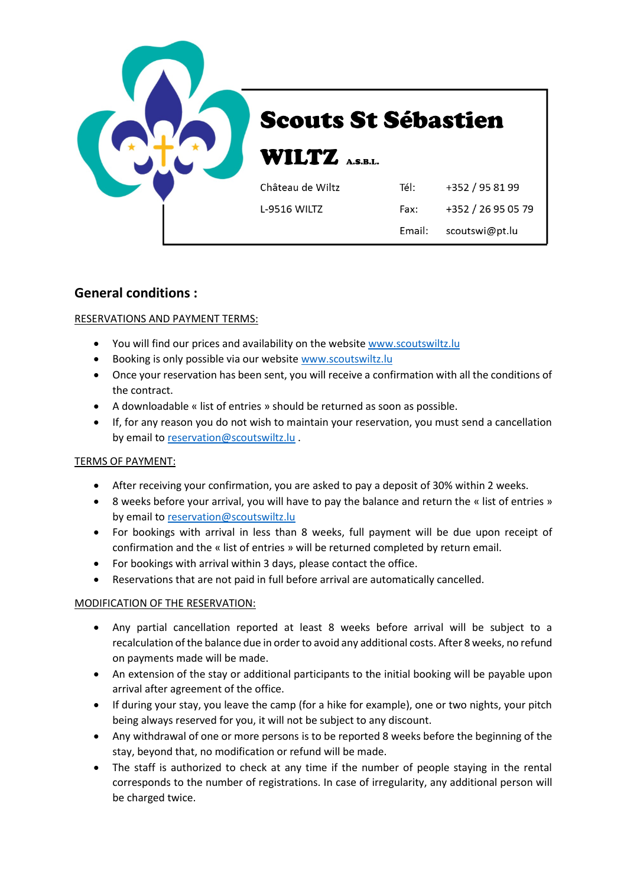

# **General conditions :**

# RESERVATIONS AND PAYMENT TERMS:

- You will find our prices and availability on the website [www.scoutswiltz.lu](file://///server2012/fichiers/Tom/Fichiers%20Word/Scouts/www.scoutswiltz.lu)
- Booking is only possible via our website [www.scoutswiltz.lu](file://///server2012/fichiers/Tom/Fichiers%20Word/Scouts/www.scoutswiltz.lu)
- Once your reservation has been sent, you will receive a confirmation with all the conditions of the contract.
- A downloadable « list of entries » should be returned as soon as possible.
- If, for any reason you do not wish to maintain your reservation, you must send a cancellation by email to [reservation@scoutswiltz.lu](file://///server2012/fichiers/Tom/Fichiers%20Word/Scouts/reservation@scoutswiltz.lu%20) .

# TERMS OF PAYMENT:

- After receiving your confirmation, you are asked to pay a deposit of 30% within 2 weeks.
- 8 weeks before your arrival, you will have to pay the balance and return the « list of entries » by email to [reservation@scoutswiltz.lu](file://///server2012/fichiers/Tom/Fichiers%20Word/Scouts/reservation@scoutswiltz.lu)
- For bookings with arrival in less than 8 weeks, full payment will be due upon receipt of confirmation and the « list of entries » will be returned completed by return email.
- For bookings with arrival within 3 days, please contact the office.
- Reservations that are not paid in full before arrival are automatically cancelled.

# MODIFICATION OF THE RESERVATION:

- Any partial cancellation reported at least 8 weeks before arrival will be subject to a recalculation of the balance due in order to avoid any additional costs. After 8 weeks, no refund on payments made will be made.
- An extension of the stay or additional participants to the initial booking will be payable upon arrival after agreement of the office.
- If during your stay, you leave the camp (for a hike for example), one or two nights, your pitch being always reserved for you, it will not be subject to any discount.
- Any withdrawal of one or more persons is to be reported 8 weeks before the beginning of the stay, beyond that, no modification or refund will be made.
- The staff is authorized to check at any time if the number of people staying in the rental corresponds to the number of registrations. In case of irregularity, any additional person will be charged twice.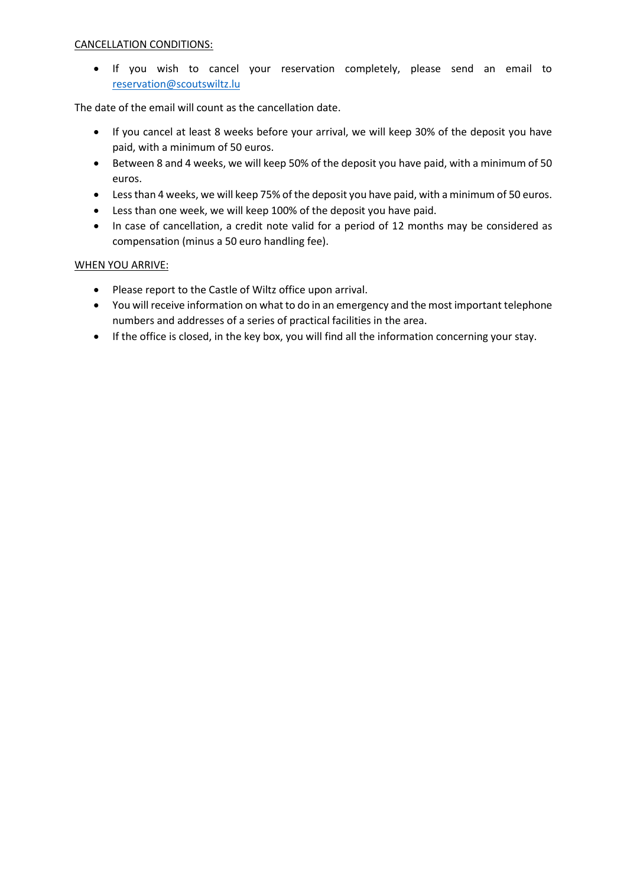# CANCELLATION CONDITIONS:

• If you wish to cancel your reservation completely, please send an email to [reservation@scoutswiltz.lu](file://///server2012/fichiers/Tom/Fichiers%20Word/Scouts/reservation@scoutswiltz.lu)

The date of the email will count as the cancellation date.

- If you cancel at least 8 weeks before your arrival, we will keep 30% of the deposit you have paid, with a minimum of 50 euros.
- Between 8 and 4 weeks, we will keep 50% of the deposit you have paid, with a minimum of 50 euros.
- Less than 4 weeks, we will keep 75% of the deposit you have paid, with a minimum of 50 euros.
- Less than one week, we will keep 100% of the deposit you have paid.
- In case of cancellation, a credit note valid for a period of 12 months may be considered as compensation (minus a 50 euro handling fee).

## WHEN YOU ARRIVE:

- Please report to the Castle of Wiltz office upon arrival.
- You will receive information on what to do in an emergency and the most important telephone numbers and addresses of a series of practical facilities in the area.
- If the office is closed, in the key box, you will find all the information concerning your stay.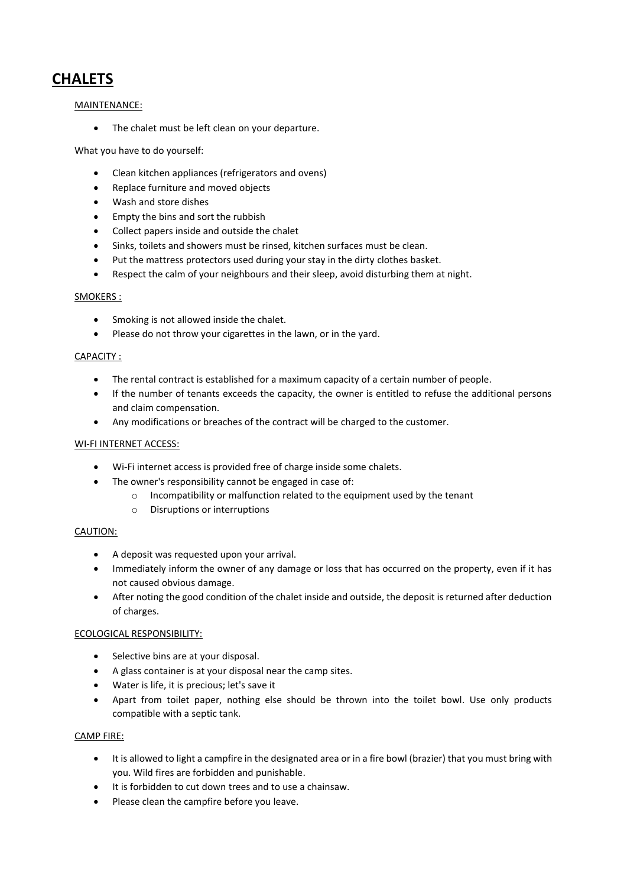# **CHALETS**

## MAINTENANCE:

• The chalet must be left clean on your departure.

### What you have to do yourself:

- Clean kitchen appliances (refrigerators and ovens)
- Replace furniture and moved objects
- Wash and store dishes
- Empty the bins and sort the rubbish
- Collect papers inside and outside the chalet
- Sinks, toilets and showers must be rinsed, kitchen surfaces must be clean.
- Put the mattress protectors used during your stay in the dirty clothes basket.
- Respect the calm of your neighbours and their sleep, avoid disturbing them at night.

#### SMOKERS :

- Smoking is not allowed inside the chalet.
- Please do not throw your cigarettes in the lawn, or in the yard.

#### CAPACITY :

- The rental contract is established for a maximum capacity of a certain number of people.
- If the number of tenants exceeds the capacity, the owner is entitled to refuse the additional persons and claim compensation.
- Any modifications or breaches of the contract will be charged to the customer.

#### WI-FI INTERNET ACCESS:

- Wi-Fi internet access is provided free of charge inside some chalets.
- The owner's responsibility cannot be engaged in case of:
	- o Incompatibility or malfunction related to the equipment used by the tenant
	- o Disruptions or interruptions

#### CAUTION:

- A deposit was requested upon your arrival.
- Immediately inform the owner of any damage or loss that has occurred on the property, even if it has not caused obvious damage.
- After noting the good condition of the chalet inside and outside, the deposit is returned after deduction of charges.

#### ECOLOGICAL RESPONSIBILITY:

- Selective bins are at your disposal.
- A glass container is at your disposal near the camp sites.
- Water is life, it is precious; let's save it
- Apart from toilet paper, nothing else should be thrown into the toilet bowl. Use only products compatible with a septic tank.

#### CAMP FIRE:

- It is allowed to light a campfire in the designated area or in a fire bowl (brazier) that you must bring with you. Wild fires are forbidden and punishable.
- It is forbidden to cut down trees and to use a chainsaw.
- Please clean the campfire before you leave.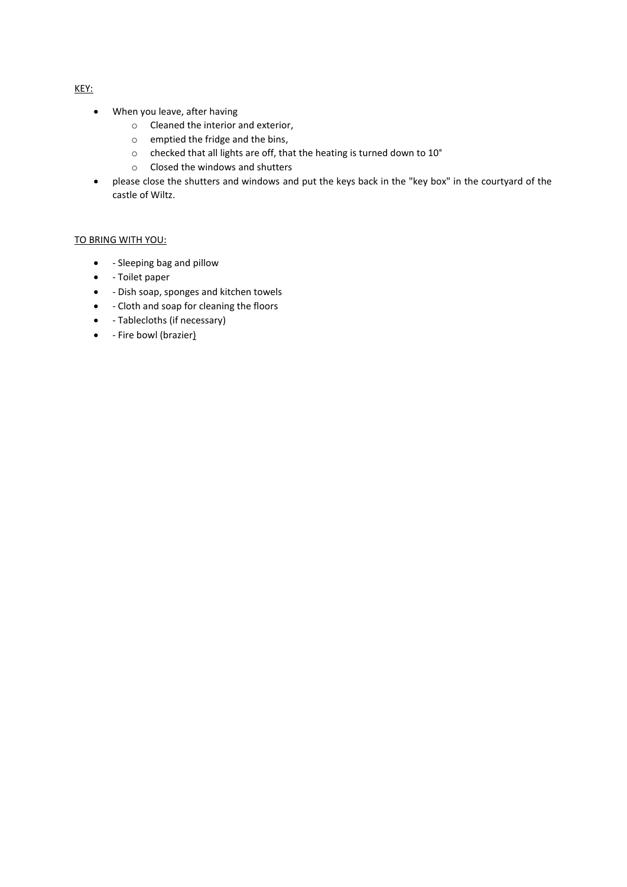- When you leave, after having
	- o Cleaned the interior and exterior,
	- o emptied the fridge and the bins,
	- o checked that all lights are off, that the heating is turned down to 10°
	- o Closed the windows and shutters
- please close the shutters and windows and put the keys back in the "key box" in the courtyard of the castle of Wiltz.

## TO BRING WITH YOU:

- - Sleeping bag and pillow
- - Toilet paper
- - Dish soap, sponges and kitchen towels
- - Cloth and soap for cleaning the floors
- - Tablecloths (if necessary)
- - Fire bowl (brazier)

KEY: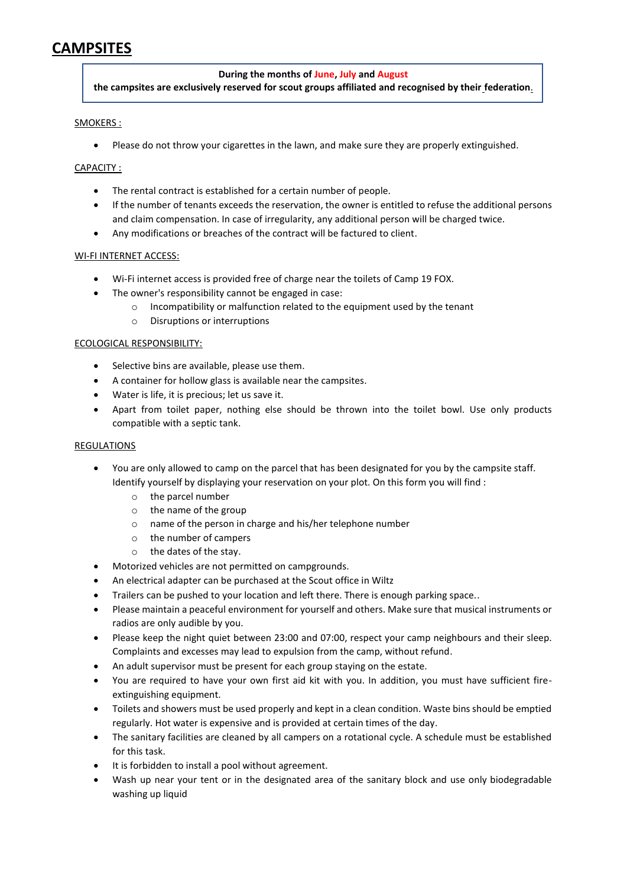# **CAMPSITES**

## **During the months of June, July and August**

**the campsites are exclusively reserved for scout groups affiliated and recognised by their federation**.

#### SMOKERS :

• Please do not throw your cigarettes in the lawn, and make sure they are properly extinguished.

#### CAPACITY :

- The rental contract is established for a certain number of people.
- If the number of tenants exceeds the reservation, the owner is entitled to refuse the additional persons and claim compensation. In case of irregularity, any additional person will be charged twice.
- Any modifications or breaches of the contract will be factured to client.

#### WI-FI INTERNET ACCESS:

- Wi-Fi internet access is provided free of charge near the toilets of Camp 19 FOX.
- The owner's responsibility cannot be engaged in case:
	- o Incompatibility or malfunction related to the equipment used by the tenant
	- o Disruptions or interruptions

#### ECOLOGICAL RESPONSIBILITY:

- Selective bins are available, please use them.
- A container for hollow glass is available near the campsites.
- Water is life, it is precious; let us save it.
- Apart from toilet paper, nothing else should be thrown into the toilet bowl. Use only products compatible with a septic tank.

#### REGULATIONS

- You are only allowed to camp on the parcel that has been designated for you by the campsite staff. Identify yourself by displaying your reservation on your plot. On this form you will find :
	- o the parcel number
	- o the name of the group
	- o name of the person in charge and his/her telephone number
	- o the number of campers
	- o the dates of the stay.
- Motorized vehicles are not permitted on campgrounds.
- An electrical adapter can be purchased at the Scout office in Wiltz
- Trailers can be pushed to your location and left there. There is enough parking space..
- Please maintain a peaceful environment for yourself and others. Make sure that musical instruments or radios are only audible by you.
- Please keep the night quiet between 23:00 and 07:00, respect your camp neighbours and their sleep. Complaints and excesses may lead to expulsion from the camp, without refund.
- An adult supervisor must be present for each group staying on the estate.
- You are required to have your own first aid kit with you. In addition, you must have sufficient fireextinguishing equipment.
- Toilets and showers must be used properly and kept in a clean condition. Waste bins should be emptied regularly. Hot water is expensive and is provided at certain times of the day.
- The sanitary facilities are cleaned by all campers on a rotational cycle. A schedule must be established for this task.
- It is forbidden to install a pool without agreement.
- Wash up near your tent or in the designated area of the sanitary block and use only biodegradable washing up liquid